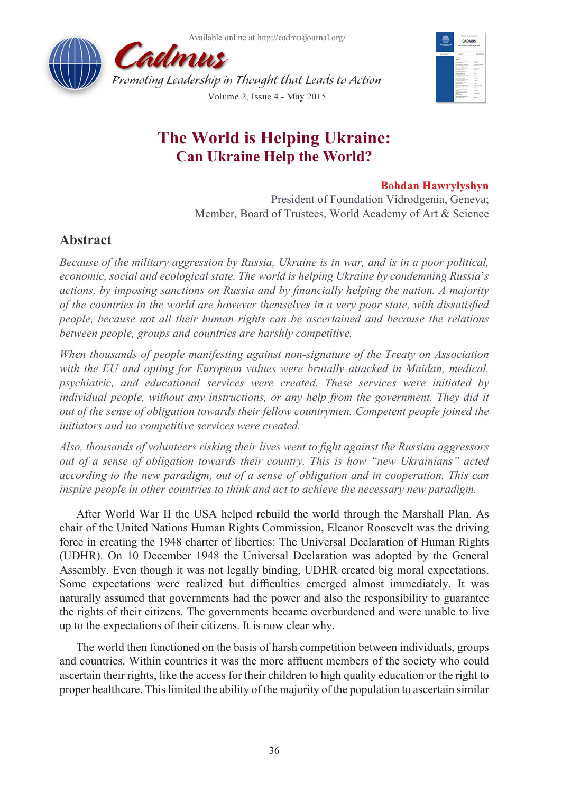



# **The World is Helping Ukraine: Can Ukraine Help the World?**

### **Bohdan Hawrylyshyn**

President of Foundation Vidrodgenia, Geneva; Member, Board of Trustees, World Academy of Art & Science

## **Abstract**

*Because of the military aggression by Russia, Ukraine is in war, and is in a poor political, economic, social and ecological state. The world is helping Ukraine by condemning Russia*'*s actions, by imposing sanctions on Russia and by financially helping the nation. A majority of the countries in the world are however themselves in a very poor state, with dissatisfied people, because not all their human rights can be ascertained and because the relations between people, groups and countries are harshly competitive.* 

*When thousands of people manifesting against non-signature of the Treaty on Association with the EU and opting for European values were brutally attacked in Maidan, medical, psychiatric, and educational services were created. These services were initiated by individual people, without any instructions, or any help from the government. They did it out of the sense of obligation towards their fellow countrymen. Competent people joined the initiators and no competitive services were created.* 

*Also, thousands of volunteers risking their lives went to fight against the Russian aggressors out of a sense of obligation towards their country. This is how "new Ukrainians" acted according to the new paradigm, out of a sense of obligation and in cooperation. This can inspire people in other countries to think and act to achieve the necessary new paradigm.* 

After World War II the USA helped rebuild the world through the Marshall Plan. As chair of the United Nations Human Rights Commission, Eleanor Roosevelt was the driving force in creating the 1948 charter of liberties: The Universal Declaration of Human Rights (UDHR). On 10 December 1948 the Universal Declaration was adopted by the General Assembly. Even though it was not legally binding, UDHR created big moral expectations. Some expectations were realized but difficulties emerged almost immediately. It was naturally assumed that governments had the power and also the responsibility to guarantee the rights of their citizens. The governments became overburdened and were unable to live up to the expectations of their citizens. It is now clear why.

The world then functioned on the basis of harsh competition between individuals, groups and countries. Within countries it was the more affluent members of the society who could ascertain their rights, like the access for their children to high quality education or the right to proper healthcare. This limited the ability of the majority of the population to ascertain similar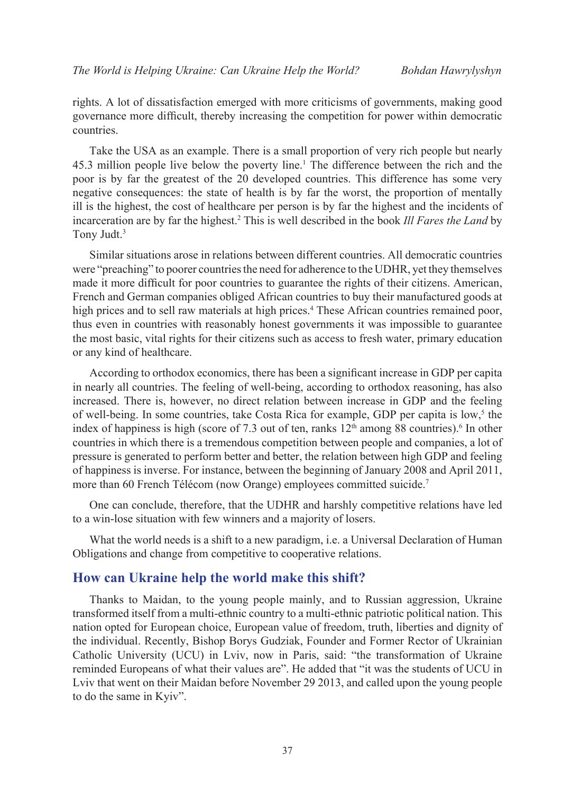rights. A lot of dissatisfaction emerged with more criticisms of governments, making good governance more difficult, thereby increasing the competition for power within democratic countries.

Take the USA as an example. There is a small proportion of very rich people but nearly 45.3 million people live below the poverty line.1 The difference between the rich and the poor is by far the greatest of the 20 developed countries. This difference has some very negative consequences: the state of health is by far the worst, the proportion of mentally ill is the highest, the cost of healthcare per person is by far the highest and the incidents of incarceration are by far the highest.2 This is well described in the book *Ill Fares the Land* by Tony Judt.3

Similar situations arose in relations between different countries. All democratic countries were "preaching" to poorer countries the need for adherence to the UDHR, yet they themselves made it more difficult for poor countries to guarantee the rights of their citizens. American, French and German companies obliged African countries to buy their manufactured goods at high prices and to sell raw materials at high prices.<sup>4</sup> These African countries remained poor, thus even in countries with reasonably honest governments it was impossible to guarantee the most basic, vital rights for their citizens such as access to fresh water, primary education or any kind of healthcare.

According to orthodox economics, there has been a significant increase in GDP per capita in nearly all countries. The feeling of well-being, according to orthodox reasoning, has also increased. There is, however, no direct relation between increase in GDP and the feeling of well-being. In some countries, take Costa Rica for example, GDP per capita is  $\text{low},^5$  the index of happiness is high (score of 7.3 out of ten, ranks  $12<sup>th</sup>$  among 88 countries).<sup>6</sup> In other countries in which there is a tremendous competition between people and companies, a lot of pressure is generated to perform better and better, the relation between high GDP and feeling of happiness is inverse. For instance, between the beginning of January 2008 and April 2011, more than 60 French Télécom (now Orange) employees committed suicide.<sup>7</sup>

One can conclude, therefore, that the UDHR and harshly competitive relations have led to a win-lose situation with few winners and a majority of losers.

What the world needs is a shift to a new paradigm, i.e. a Universal Declaration of Human Obligations and change from competitive to cooperative relations.

### **How can Ukraine help the world make this shift?**

Thanks to Maidan, to the young people mainly, and to Russian aggression, Ukraine transformed itself from a multi-ethnic country to a multi-ethnic patriotic political nation. This nation opted for European choice, European value of freedom, truth, liberties and dignity of the individual. Recently, Bishop Borys Gudziak, Founder and Former Rector of Ukrainian Catholic University (UCU) in Lviv, now in Paris, said: "the transformation of Ukraine reminded Europeans of what their values are". He added that "it was the students of UCU in Lviv that went on their Maidan before November 29 2013, and called upon the young people to do the same in Kyiv".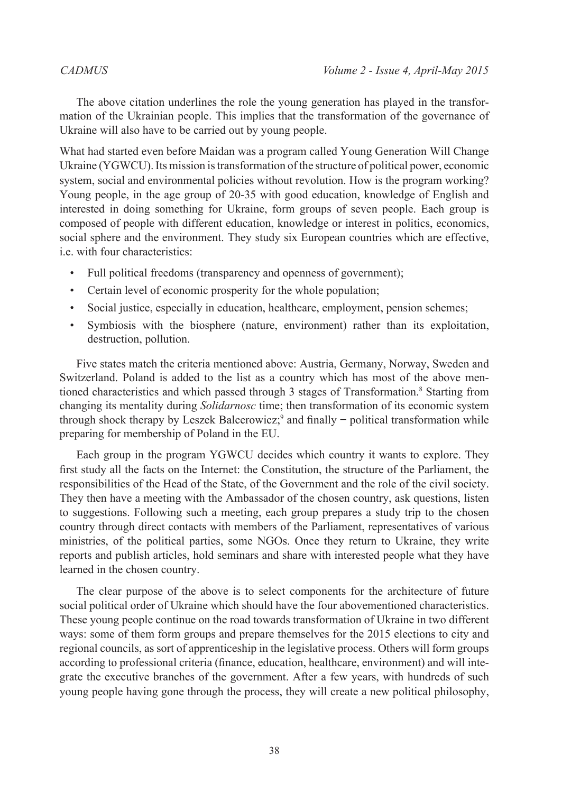The above citation underlines the role the young generation has played in the transformation of the Ukrainian people. This implies that the transformation of the governance of Ukraine will also have to be carried out by young people.

What had started even before Maidan was a program called Young Generation Will Change Ukraine (YGWCU). Its mission is transformation of the structure of political power, economic system, social and environmental policies without revolution. How is the program working? Young people, in the age group of 20-35 with good education, knowledge of English and interested in doing something for Ukraine, form groups of seven people. Each group is composed of people with different education, knowledge or interest in politics, economics, social sphere and the environment. They study six European countries which are effective, i.e. with four characteristics:

- Full political freedoms (transparency and openness of government);
- Certain level of economic prosperity for the whole population;
- Social justice, especially in education, healthcare, employment, pension schemes;
- Symbiosis with the biosphere (nature, environment) rather than its exploitation, destruction, pollution.

Five states match the criteria mentioned above: Austria, Germany, Norway, Sweden and Switzerland. Poland is added to the list as a country which has most of the above mentioned characteristics and which passed through 3 stages of Transformation.<sup>8</sup> Starting from changing its mentality during *Solidarnosc* time; then transformation of its economic system through shock therapy by Leszek Balcerowicz;<sup>9</sup> and finally  $-$  political transformation while preparing for membership of Poland in the EU.

Each group in the program YGWCU decides which country it wants to explore. They first study all the facts on the Internet: the Constitution, the structure of the Parliament, the responsibilities of the Head of the State, of the Government and the role of the civil society. They then have a meeting with the Ambassador of the chosen country, ask questions, listen to suggestions. Following such a meeting, each group prepares a study trip to the chosen country through direct contacts with members of the Parliament, representatives of various ministries, of the political parties, some NGOs. Once they return to Ukraine, they write reports and publish articles, hold seminars and share with interested people what they have learned in the chosen country.

The clear purpose of the above is to select components for the architecture of future social political order of Ukraine which should have the four abovementioned characteristics. These young people continue on the road towards transformation of Ukraine in two different ways: some of them form groups and prepare themselves for the 2015 elections to city and regional councils, as sort of apprenticeship in the legislative process. Others will form groups according to professional criteria (finance, education, healthcare, environment) and will integrate the executive branches of the government. After a few years, with hundreds of such young people having gone through the process, they will create a new political philosophy,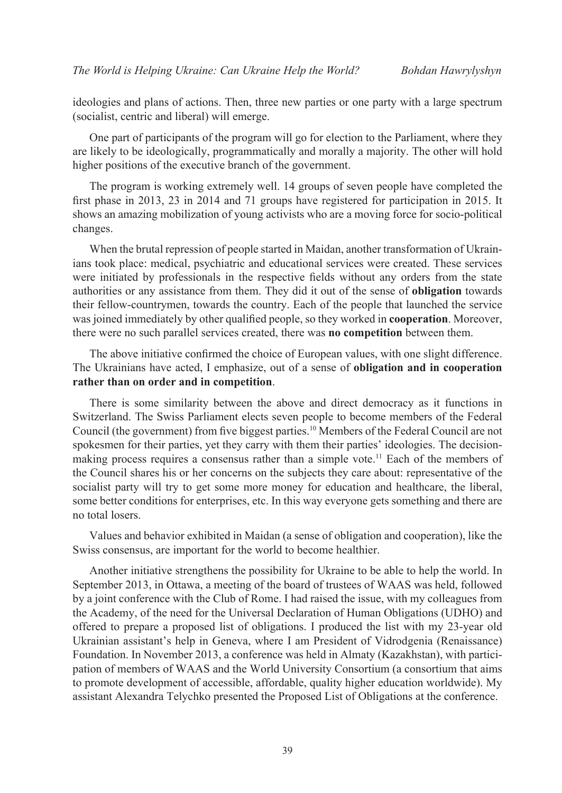ideologies and plans of actions. Then, three new parties or one party with a large spectrum (socialist, centric and liberal) will emerge.

One part of participants of the program will go for election to the Parliament, where they are likely to be ideologically, programmatically and morally a majority. The other will hold higher positions of the executive branch of the government.

The program is working extremely well. 14 groups of seven people have completed the first phase in 2013, 23 in 2014 and 71 groups have registered for participation in 2015. It shows an amazing mobilization of young activists who are a moving force for socio-political changes.

When the brutal repression of people started in Maidan, another transformation of Ukrainians took place: medical, psychiatric and educational services were created. These services were initiated by professionals in the respective fields without any orders from the state authorities or any assistance from them. They did it out of the sense of **obligation** towards their fellow-countrymen, towards the country. Each of the people that launched the service was joined immediately by other qualified people, so they worked in **cooperation**. Moreover, there were no such parallel services created, there was **no competition** between them.

The above initiative confirmed the choice of European values, with one slight difference. The Ukrainians have acted, I emphasize, out of a sense of **obligation and in cooperation rather than on order and in competition**.

There is some similarity between the above and direct democracy as it functions in Switzerland. The Swiss Parliament elects seven people to become members of the Federal Council (the government) from five biggest parties.10 Members of the Federal Council are not spokesmen for their parties, yet they carry with them their parties' ideologies. The decisionmaking process requires a consensus rather than a simple vote.<sup>11</sup> Each of the members of the Council shares his or her concerns on the subjects they care about: representative of the socialist party will try to get some more money for education and healthcare, the liberal, some better conditions for enterprises, etc. In this way everyone gets something and there are no total losers.

Values and behavior exhibited in Maidan (a sense of obligation and cooperation), like the Swiss consensus, are important for the world to become healthier.

Another initiative strengthens the possibility for Ukraine to be able to help the world. In September 2013, in Ottawa, a meeting of the board of trustees of WAAS was held, followed by a joint conference with the Club of Rome. I had raised the issue, with my colleagues from the Academy, of the need for the Universal Declaration of Human Obligations (UDHO) and offered to prepare a proposed list of obligations. I produced the list with my 23-year old Ukrainian assistant's help in Geneva, where I am President of Vidrodgenia (Renaissance) Foundation. In November 2013, a conference was held in Almaty (Kazakhstan), with participation of members of WAAS and the World University Consortium (a consortium that aims to promote development of accessible, affordable, quality higher education worldwide). My assistant Alexandra Telychko presented the Proposed List of Obligations at the conference.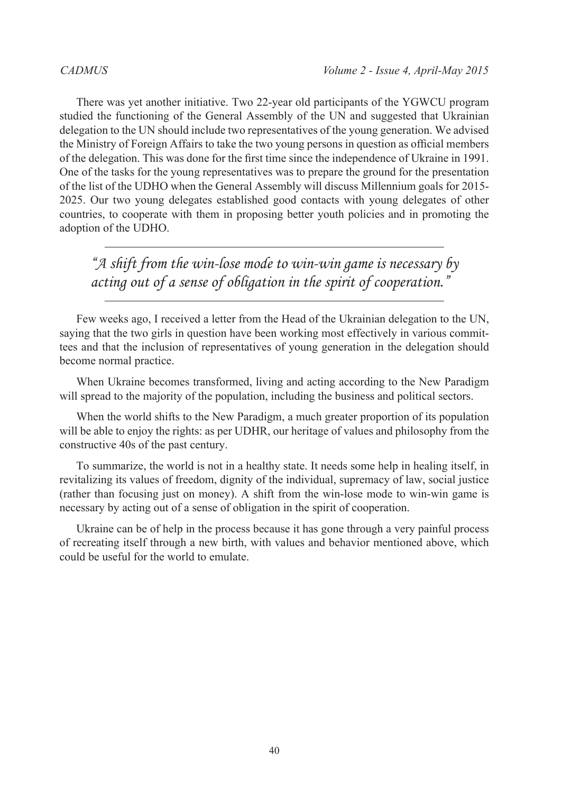There was yet another initiative. Two 22-year old participants of the YGWCU program studied the functioning of the General Assembly of the UN and suggested that Ukrainian delegation to the UN should include two representatives of the young generation. We advised the Ministry of Foreign Affairs to take the two young persons in question as official members of the delegation. This was done for the first time since the independence of Ukraine in 1991. One of the tasks for the young representatives was to prepare the ground for the presentation of the list of the UDHO when the General Assembly will discuss Millennium goals for 2015- 2025. Our two young delegates established good contacts with young delegates of other countries, to cooperate with them in proposing better youth policies and in promoting the adoption of the UDHO.

*"A shift from the win-lose mode to win-win game is necessary by acting out of a sense of obligation in the spirit of cooperation."*

Few weeks ago, I received a letter from the Head of the Ukrainian delegation to the UN, saying that the two girls in question have been working most effectively in various committees and that the inclusion of representatives of young generation in the delegation should become normal practice.

When Ukraine becomes transformed, living and acting according to the New Paradigm will spread to the majority of the population, including the business and political sectors.

When the world shifts to the New Paradigm, a much greater proportion of its population will be able to enjoy the rights: as per UDHR, our heritage of values and philosophy from the constructive 40s of the past century.

To summarize, the world is not in a healthy state. It needs some help in healing itself, in revitalizing its values of freedom, dignity of the individual, supremacy of law, social justice (rather than focusing just on money). A shift from the win-lose mode to win-win game is necessary by acting out of a sense of obligation in the spirit of cooperation.

Ukraine can be of help in the process because it has gone through a very painful process of recreating itself through a new birth, with values and behavior mentioned above, which could be useful for the world to emulate.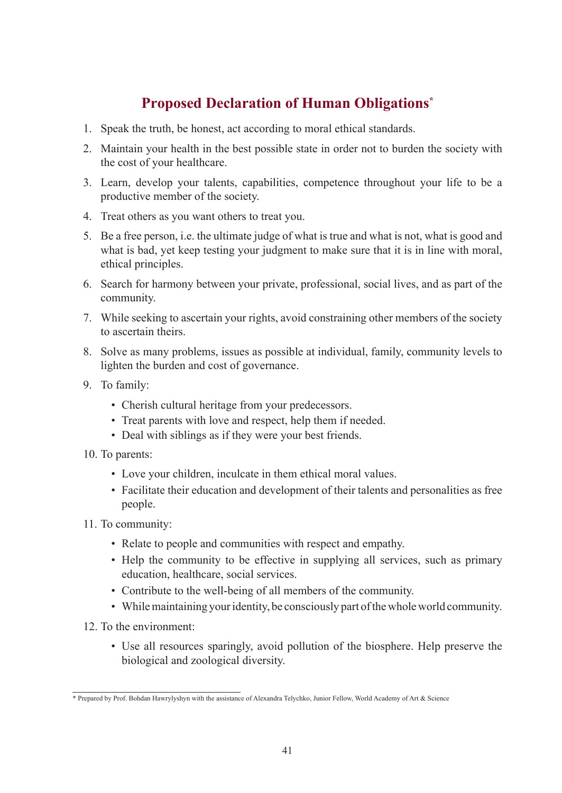# **Proposed Declaration of Human Obligations\***

- 1. Speak the truth, be honest, act according to moral ethical standards.
- 2. Maintain your health in the best possible state in order not to burden the society with the cost of your healthcare.
- 3. Learn, develop your talents, capabilities, competence throughout your life to be a productive member of the society.
- 4. Treat others as you want others to treat you.
- 5. Be a free person, i.e. the ultimate judge of what is true and what is not, what is good and what is bad, yet keep testing your judgment to make sure that it is in line with moral, ethical principles.
- 6. Search for harmony between your private, professional, social lives, and as part of the community.
- 7. While seeking to ascertain your rights, avoid constraining other members of the society to ascertain theirs.
- 8. Solve as many problems, issues as possible at individual, family, community levels to lighten the burden and cost of governance.
- 9. To family:
	- Cherish cultural heritage from your predecessors.
	- Treat parents with love and respect, help them if needed.
	- Deal with siblings as if they were your best friends.
- 10. To parents:
	- Love your children, inculcate in them ethical moral values.
	- Facilitate their education and development of their talents and personalities as free people.
- 11. To community:
	- Relate to people and communities with respect and empathy.
	- Help the community to be effective in supplying all services, such as primary education, healthcare, social services.
	- Contribute to the well-being of all members of the community.
	- While maintaining your identity, be consciously part of the whole world community.
- 12. To the environment:
	- Use all resources sparingly, avoid pollution of the biosphere. Help preserve the biological and zoological diversity.

<sup>\*</sup> Prepared by Prof. Bohdan Hawrylyshyn with the assistance of Alexandra Telychko, Junior Fellow, World Academy of Art & Science